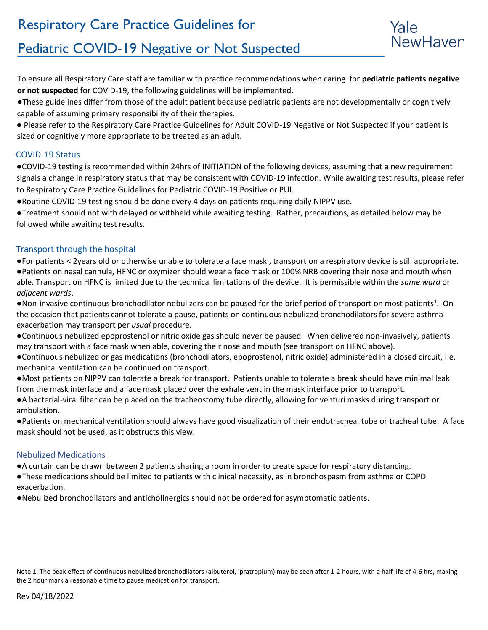

# Pediatric COVID-19 Negative or Not Suspected

To ensure all Respiratory Care staff are familiar with practice recommendations when caring for **pediatric patients negative or not suspected** for COVID-19, the following guidelines will be implemented.

●These guidelines differ from those of the adult patient because pediatric patients are not developmentally or cognitively capable of assuming primary responsibility of their therapies.

● Please refer to the Respiratory Care Practice Guidelines for Adult COVID-19 Negative or Not Suspected if your patient is sized or cognitively more appropriate to be treated as an adult.

# COVID-19 Status

●COVID-19 testing is recommended within 24hrs of INITIATION of the following devices, assuming that a new requirement signals a change in respiratory status that may be consistent with COVID-19 infection. While awaiting test results, please refer to Respiratory Care Practice Guidelines for Pediatric COVID-19 Positive or PUI.

●Routine COVID-19 testing should be done every 4 days on patients requiring daily NIPPV use.

●Treatment should not with delayed or withheld while awaiting testing. Rather, precautions, as detailed below may be followed while awaiting test results.

# Transport through the hospital

●For patients < 2years old or otherwise unable to tolerate a face mask , transport on a respiratory device is still appropriate. ●Patients on nasal cannula, HFNC or oxymizer should wear a face mask or 100% NRB covering their nose and mouth when able. Transport on HFNC is limited due to the technical limitations of the device. It is permissible within the *same ward* or *adjacent wards*.

.Non-invasive continuous bronchodilator nebulizers can be paused for the brief period of transport on most patients<sup>1</sup>. On the occasion that patients cannot tolerate a pause, patients on continuous nebulized bronchodilators for severe asthma exacerbation may transport per *usual* procedure.

●Continuous nebulized epoprostenol or nitric oxide gas should never be paused. When delivered non-invasively, patients may transport with a face mask when able, covering their nose and mouth (see transport on HFNC above).

●Continuous nebulized or gas medications (bronchodilators, epoprostenol, nitric oxide) administered in a closed circuit, i.e. mechanical ventilation can be continued on transport.

●Most patients on NIPPV can tolerate a break for transport. Patients unable to tolerate a break should have minimal leak from the mask interface and a face mask placed over the exhale vent in the mask interface prior to transport.

●A bacterial-viral filter can be placed on the tracheostomy tube directly, allowing for venturi masks during transport or ambulation.

●Patients on mechanical ventilation should always have good visualization of their endotracheal tube or tracheal tube. A face mask should not be used, as it obstructs this view.

# Nebulized Medications

●A curtain can be drawn between 2 patients sharing a room in order to create space for respiratory distancing.

●These medications should be limited to patients with clinical necessity, as in bronchospasm from asthma or COPD exacerbation.

●Nebulized bronchodilators and anticholinergics should not be ordered for asymptomatic patients.

Note 1: The peak effect of continuous nebulized bronchodilators (albuterol, ipratropium) may be seen after 1-2 hours, with a half life of 4-6 hrs, making the 2 hour mark a reasonable time to pause medication for transport.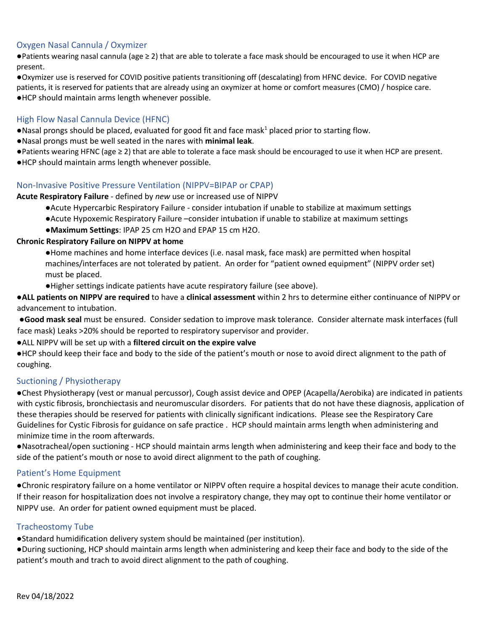## Oxygen Nasal Cannula / Oxymizer

●Patients wearing nasal cannula (age ≥ 2) that are able to tolerate a face mask should be encouraged to use it when HCP are present.

●Oxymizer use is reserved for COVID positive patients transitioning off (descalating) from HFNC device. For COVID negative patients, it is reserved for patients that are already using an oxymizer at home or comfort measures (CMO) / hospice care. ●HCP should maintain arms length whenever possible.

#### High Flow Nasal Cannula Device (HFNC)

●Nasal prongs should be placed, evaluated for good fit and face mask<sup>1</sup> placed prior to starting flow.

- ●Nasal prongs must be well seated in the nares with **minimal leak**.
- ●Patients wearing HFNC (age ≥ 2) that are able to tolerate a face mask should be encouraged to use it when HCP are present.
- ●HCP should maintain arms length whenever possible.

## Non-Invasive Positive Pressure Ventilation (NIPPV=BIPAP or CPAP)

#### **Acute Respiratory Failure** - defined by *new* use or increased use of NIPPV

- ●Acute Hypercarbic Respiratory Failure consider intubation if unable to stabilize at maximum settings
- ●Acute Hypoxemic Respiratory Failure –consider intubation if unable to stabilize at maximum settings
- ●**Maximum Settings**: IPAP 25 cm H2O and EPAP 15 cm H2O.

#### **Chronic Respiratory Failure on NIPPV at home**

- ●Home machines and home interface devices (i.e. nasal mask, face mask) are permitted when hospital machines/interfaces are not tolerated by patient. An order for "patient owned equipment" (NIPPV order set) must be placed.
- ●Higher settings indicate patients have acute respiratory failure (see above).

●**ALL patients on NIPPV are required** to have a **clinical assessment** within 2 hrs to determine either continuance of NIPPV or advancement to intubation.

●**Good mask seal** must be ensured. Consider sedation to improve mask tolerance. Consider alternate mask interfaces (full face mask) Leaks >20% should be reported to respiratory supervisor and provider.

●ALL NIPPV will be set up with a **filtered circuit on the expire valve** 

●HCP should keep their face and body to the side of the patient's mouth or nose to avoid direct alignment to the path of coughing.

## Suctioning / Physiotherapy

●Chest Physiotherapy (vest or manual percussor), Cough assist device and OPEP (Acapella/Aerobika) are indicated in patients with cystic fibrosis, bronchiectasis and neuromuscular disorders. For patients that do not have these diagnosis, application of these therapies should be reserved for patients with clinically significant indications. Please see the Respiratory Care Guidelines for Cystic Fibrosis for guidance on safe practice . HCP should maintain arms length when administering and minimize time in the room afterwards.

●Nasotracheal/open suctioning - HCP should maintain arms length when administering and keep their face and body to the side of the patient's mouth or nose to avoid direct alignment to the path of coughing.

#### Patient's Home Equipment

●Chronic respiratory failure on a home ventilator or NIPPV often require a hospital devices to manage their acute condition. If their reason for hospitalization does not involve a respiratory change, they may opt to continue their home ventilator or NIPPV use. An order for patient owned equipment must be placed.

## Tracheostomy Tube

●Standard humidification delivery system should be maintained (per institution).

●During suctioning, HCP should maintain arms length when administering and keep their face and body to the side of the patient's mouth and trach to avoid direct alignment to the path of coughing.